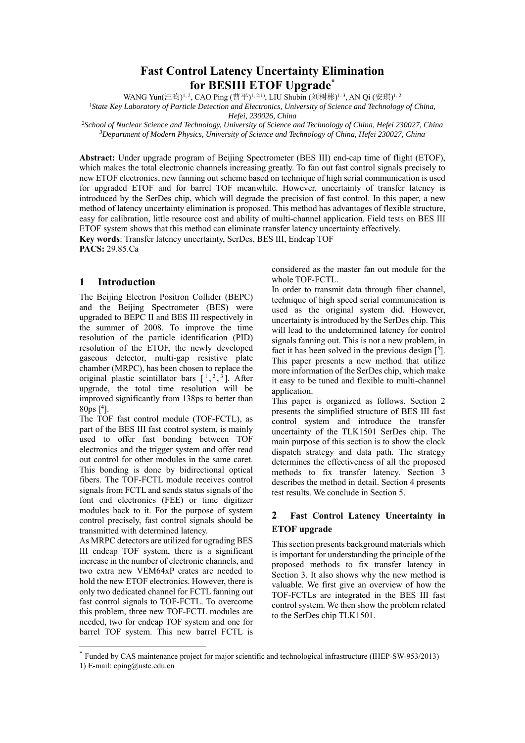# **Fast Control Latency Uncertainty Elimination for BESIII ETOF Upgrade\***

WANG Yun(汪昀)<sup>1, 2</sup>, CAO Ping (曹平)<sup>1, 2;1)</sup>, LIU Shubin (刘树彬)<sup>1, 3</sup>, AN Qi (安琪)<sup>1, 2</sup>

*1State Key Laboratory of Particle Detection and Electronics, University of Science and Technology of China,* 

*Hefei, 230026, China 2School of Nuclear Science and Technology, University of Science and Technology of China, Hefei 230027, China 3Department of Modern Physics, University of Science and Technology of China, Hefei 230027, China* 

**Abstract:** Under upgrade program of Beijing Spectrometer (BES III) end-cap time of flight (ETOF), which makes the total electronic channels increasing greatly. To fan out fast control signals precisely to new ETOF electronics, new fanning out scheme based on technique of high serial communication is used for upgraded ETOF and for barrel TOF meanwhile. However, uncertainty of transfer latency is introduced by the SerDes chip, which will degrade the precision of fast control. In this paper, a new method of latency uncertainty elimination is proposed. This method has advantages of flexible structure, easy for calibration, little resource cost and ability of multi-channel application. Field tests on BES III ETOF system shows that this method can eliminate transfer latency uncertainty effectively.

**Key words**: Transfer latency uncertainty, SerDes, BES III, Endcap TOF **PACS:** 29.85.Ca

## **1 Introduction**

The Beijing Electron Positron Collider (BEPC) and the Beijing Spectrometer (BES) were upgraded to BEPC II and BES III respectively in the summer of 2008. To improve the time resolution of the particle identification (PID) resolution of the ETOF, the newly developed gaseous detector, multi-gap resistive plate chamber (MRPC), has been chosen to replace the original plastic scintillator bars  $[1, \frac{2}{3}]$ . After upgrade, the total time resolution will be improved significantly from 138ps to better than 80ps  $[$ <sup>4</sup>].

The TOF fast control module (TOF-FCTL), as part of the BES III fast control system, is mainly used to offer fast bonding between TOF electronics and the trigger system and offer read out control for other modules in the same caret. This bonding is done by bidirectional optical fibers. The TOF-FCTL module receives control signals from FCTL and sends status signals of the font end electronics (FEE) or time digitizer modules back to it. For the purpose of system control precisely, fast control signals should be transmitted with determined latency.

As MRPC detectors are utilized for ugrading BES III endcap TOF system, there is a significant increase in the number of electronic channels, and two extra new VEM64xP crates are needed to hold the new ETOF electronics. However, there is only two dedicated channel for FCTL fanning out fast control signals to TOF-FCTL. To overcome this problem, three new TOF-FCTL modules are needed, two for endcap TOF system and one for barrel TOF system. This new barrel FCTL is

-

considered as the master fan out module for the whole TOF-FCTL.

In order to transmit data through fiber channel, technique of high speed serial communication is used as the original system did. However, uncertainty is introduced by the SerDes chip. This will lead to the undetermined latency for control signals fanning out. This is not a new problem, in fact it has been solved in the previous design  $[5]$ . This paper presents a new method that utilize more information of the SerDes chip, which make it easy to be tuned and flexible to multi-channel application.

This paper is organized as follows. Section 2 presents the simplified structure of BES III fast control system and introduce the transfer uncertainty of the TLK1501 SerDes chip. The main purpose of this section is to show the clock dispatch strategy and data path. The strategy determines the effectiveness of all the proposed methods to fix transfer latency. Section 3 describes the method in detail. Section 4 presents test results. We conclude in Section 5.

## **2 Fast Control Latency Uncertainty in ETOF upgrade**

This section presents background materials which is important for understanding the principle of the proposed methods to fix transfer latency in Section 3. It also shows why the new method is valuable. We first give an overview of how the TOF-FCTLs are integrated in the BES III fast control system. We then show the problem related to the SerDes chip TLK1501.

<sup>\*</sup> Funded by CAS maintenance project for major scientific and technological infrastructure (IHEP-SW-953/2013) 1) E-mail: cping@ustc.edu.cn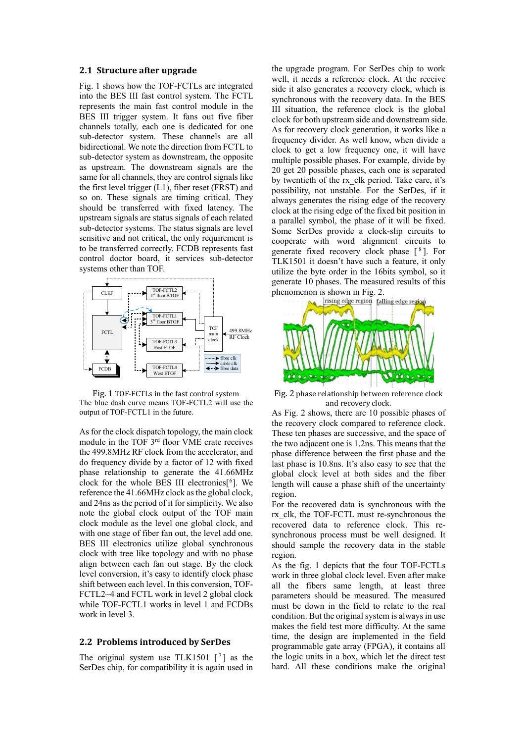#### **2.1 Structure after upgrade**

Fig. 1 shows how the TOF-FCTLs are integrated into the BES III fast control system. The FCTL represents the main fast control module in the BES III trigger system. It fans out five fiber channels totally, each one is dedicated for one sub-detector system. These channels are all bidirectional. We note the direction from FCTL to sub-detector system as downstream, the opposite as upstream. The downstream signals are the same for all channels, they are control signals like the first level trigger (L1), fiber reset (FRST) and so on. These signals are timing critical. They should be transferred with fixed latency. The upstream signals are status signals of each related sub-detector systems. The status signals are level sensitive and not critical, the only requirement is to be transferred correctly. FCDB represents fast control doctor board, it services sub-detector systems other than TOF.



Fig. 1 TOF-FCTLs in the fast control system The blue dash curve means TOF-FCTL2 will use the output of TOF-FCTL1 in the future.

As for the clock dispatch topology, the main clock module in the TOF 3rd floor VME crate receives the 499.8MHz RF clock from the accelerator, and do frequency divide by a factor of 12 with fixed phase relationship to generate the 41.66MHz clock for the whole BES III electronics $[6]$ . We reference the 41.66MHz clock as the global clock, and 24ns as the period of it for simplicity. We also note the global clock output of the TOF main clock module as the level one global clock, and with one stage of fiber fan out, the level add one. BES III electronics utilize global synchronous clock with tree like topology and with no phase align between each fan out stage. By the clock level conversion, it's easy to identify clock phase shift between each level. In this conversion, TOF-FCTL2~4 and FCTL work in level 2 global clock while TOF-FCTL1 works in level 1 and FCDBs work in level 3.

#### **2.2 Problems introduced by SerDes**

The original system use TLK1501  $\lceil$ <sup>7</sup> as the SerDes chip, for compatibility it is again used in the upgrade program. For SerDes chip to work well, it needs a reference clock. At the receive side it also generates a recovery clock, which is synchronous with the recovery data. In the BES III situation, the reference clock is the global clock for both upstream side and downstream side. As for recovery clock generation, it works like a frequency divider. As well know, when divide a clock to get a low frequency one, it will have multiple possible phases. For example, divide by 20 get 20 possible phases, each one is separated by twentieth of the rx\_clk period. Take care, it's possibility, not unstable. For the SerDes, if it always generates the rising edge of the recovery clock at the rising edge of the fixed bit position in a parallel symbol, the phase of it will be fixed. Some SerDes provide a clock-slip circuits to cooperate with word alignment circuits to generate fixed recovery clock phase  $\lceil \sqrt[8]{\cdot} \rceil$ . For TLK1501 it doesn't have such a feature, it only utilize the byte order in the 16bits symbol, so it generate 10 phases. The measured results of this



Fig. 2 phase relationship between reference clock and recovery clock.

As Fig. 2 shows, there are 10 possible phases of the recovery clock compared to reference clock. These ten phases are successive, and the space of the two adjacent one is 1.2ns. This means that the phase difference between the first phase and the last phase is 10.8ns. It's also easy to see that the global clock level at both sides and the fiber length will cause a phase shift of the uncertainty region.

For the recovered data is synchronous with the rx\_clk, the TOF-FCTL must re-synchronous the recovered data to reference clock. This resynchronous process must be well designed. It should sample the recovery data in the stable region.

As the fig. 1 depicts that the four TOF-FCTLs work in three global clock level. Even after make all the fibers same length, at least three parameters should be measured. The measured must be down in the field to relate to the real condition. But the original system is always in use makes the field test more difficulty. At the same time, the design are implemented in the field programmable gate array (FPGA), it contains all the logic units in a box, which let the direct test hard. All these conditions make the original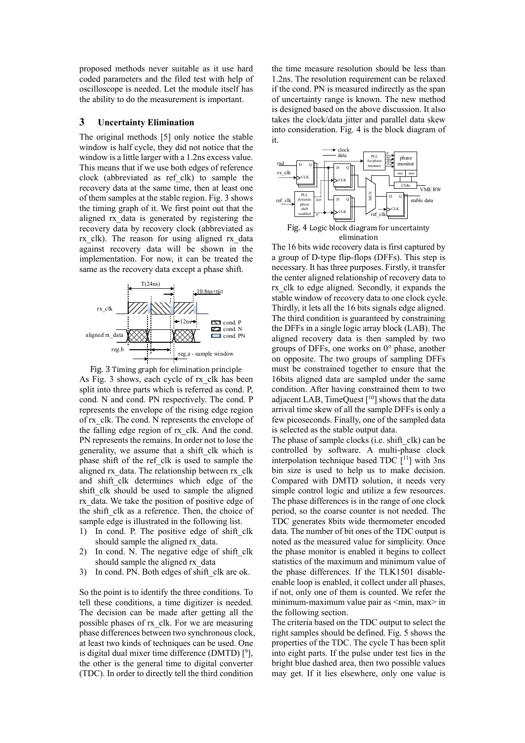proposed methods never suitable as it use hard coded parameters and the filed test with help of oscilloscope is needed. Let the module itself has the ability to do the measurement is important.

#### **3 Uncertainty Elimination**

The original methods [5] only notice the stable window is half cycle, they did not notice that the window is a little larger with a 1.2ns excess value. This means that if we use both edges of reference clock (abbreviated as ref\_clk) to sample the recovery data at the same time, then at least one of them samples at the stable region. Fig. 3 shows the timing graph of it. We first point out that the aligned rx\_data is generated by registering the recovery data by recovery clock (abbreviated as rx clk). The reason for using aligned rx data against recovery data will be shown in the implementation. For now, it can be treated the same as the recovery data except a phase shift.



Fig. 3 Timing graph for elimination principle As Fig. 3 shows, each cycle of rx\_clk has been split into three parts which is referred as cond. P, cond. N and cond. PN respectively. The cond. P represents the envelope of the rising edge region of rx\_clk. The cond. N represents the envelope of the falling edge region of rx\_clk. And the cond. PN represents the remains. In order not to lose the generality, we assume that a shift\_clk which is phase shift of the ref\_clk is used to sample the aligned rx\_data. The relationship between rx\_clk and shift clk determines which edge of the shift clk should be used to sample the aligned rx\_data. We take the position of positive edge of the shift clk as a reference. Then, the choice of sample edge is illustrated in the following list.

- 1) In cond. P. The positive edge of shift clk should sample the aligned rx data.
- 2) In cond. N. The negative edge of shift clk should sample the aligned rx\_data
- 3) In cond. PN. Both edges of shift clk are ok.

So the point is to identify the three conditions. To tell these conditions, a time digitizer is needed. The decision can be made after getting all the possible phases of rx\_clk. For we are measuring phase differences between two synchronous clock, at least two kinds of techniques can be used. One is digital dual mixer time difference (DMTD)  $[^9]$ , the other is the general time to digital converter (TDC). In order to directly tell the third condition

the time measure resolution should be less than 1.2ns. The resolution requirement can be relaxed if the cond. PN is measured indirectly as the span of uncertainty range is known. The new method is designed based on the above discussion. It also takes the clock/data jitter and parallel data skew into consideration. Fig. 4 is the block diagram of it.



The 16 bits wide recovery data is first captured by a group of D-type flip-flops (DFFs). This step is necessary. It has three purposes. Firstly, it transfer the center aligned relationship of recovery data to rx\_clk to edge aligned. Secondly, it expands the stable window of recovery data to one clock cycle. Thirdly, it lets all the 16 bits signals edge aligned. The third condition is guaranteed by constraining the DFFs in a single logic array block (LAB). The aligned recovery data is then sampled by two groups of DFFs, one works on 0° phase, another on opposite. The two groups of sampling DFFs must be constrained together to ensure that the 16bits aligned data are sampled under the same condition. After having constrained them to two adjacent LAB, TimeQuest [10] shows that the data arrival time skew of all the sample DFFs is only a few picoseconds. Finally, one of the sampled data is selected as the stable output data.

The phase of sample clocks (i.e. shift clk) can be controlled by software. A multi-phase clock interpolation technique based TDC  $[11]$  with 3ns bin size is used to help us to make decision. Compared with DMTD solution, it needs very simple control logic and utilize a few resources. The phase differences is in the range of one clock period, so the coarse counter is not needed. The TDC generates 8bits wide thermometer encoded data. The number of bit ones of the TDC output is noted as the measured value for simplicity. Once the phase monitor is enabled it begins to collect statistics of the maximum and minimum value of the phase differences. If the TLK1501 disableenable loop is enabled, it collect under all phases, if not, only one of them is counted. We refer the minimum-maximum value pair as <min, max> in the following section.

The criteria based on the TDC output to select the right samples should be defined. Fig. 5 shows the properties of the TDC. The cycle T has been split into eight parts. If the pulse under test lies in the bright blue dashed area, then two possible values may get. If it lies elsewhere, only one value is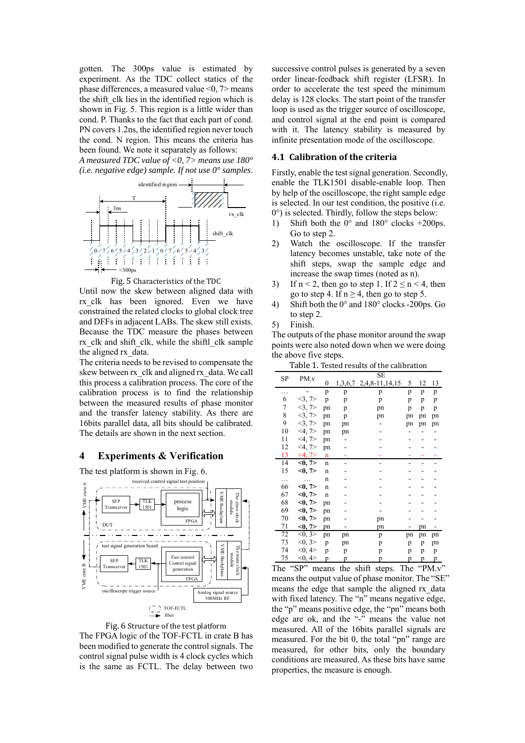gotten. The 300ps value is estimated by experiment. As the TDC collect statics of the phase differences, a measured value  $\leq 0$ ,  $\geq$  means the shift clk lies in the identified region which is shown in Fig. 5. This region is a little wider than cond. P. Thanks to the fact that each part of cond. PN covers 1.2ns, the identified region never touch the cond. N region. This means the criteria has been found. We note it separately as follows:

*A measured TDC value of <0, 7> means use 180° (i.e. negative edge) sample. If not use 0° samples*.



Fig. 5 Characteristics of the TDC

Until now the skew between aligned data with rx clk has been ignored. Even we have constrained the related clocks to global clock tree and DFFs in adjacent LABs. The skew still exists. Because the TDC measure the phases between rx\_clk and shift\_clk, while the shiftl\_clk sample the aligned rx\_data.

The criteria needs to be revised to compensate the skew between rx\_clk and aligned rx\_data. We call this process a calibration process. The core of the calibration process is to find the relationship between the measured results of phase monitor and the transfer latency stability. As there are 16bits parallel data, all bits should be calibrated. The details are shown in the next section.

#### **4 Experiments & Verification**







The FPGA logic of the TOF-FCTL in crate B has been modified to generate the control signals. The control signal pulse width is 4 clock cycles which is the same as FCTL. The delay between two successive control pulses is generated by a seven order linear-feedback shift register (LFSR). In order to accelerate the test speed the minimum delay is 128 clocks. The start point of the transfer loop is used as the trigger source of oscilloscope, and control signal at the end point is compared with it. The latency stability is measured by infinite presentation mode of the oscilloscope.

#### **4.1 Calibration of the criteria**

Firstly, enable the test signal generation. Secondly, enable the TLK1501 disable-enable loop. Then by help of the oscilloscope, the right sample edge is selected. In our test condition, the positive (i.e. 0°) is selected. Thirdly, follow the steps below:

- 1) Shift both the  $0^{\circ}$  and  $180^{\circ}$  clocks  $+200$ ps. Go to step 2.
- 2) Watch the oscilloscope. If the transfer latency becomes unstable, take note of the shift steps, swap the sample edge and increase the swap times (noted as n).
- 3) If  $n < 2$ , then go to step 1. If  $2 \le n < 4$ , then go to step 4. If  $n \geq 4$ , then go to step 5.
- 4) Shift both the 0° and 180° clocks -200ps. Go to step 2.
- 5) Finish.

The outputs of the phase monitor around the swap points were also noted down when we were doing the above five steps.

| Table 1. Tested results of the calibration |
|--------------------------------------------|
|--------------------------------------------|

|    |           |                  |    | SE                     |    |    |    |
|----|-----------|------------------|----|------------------------|----|----|----|
| SP | PM.v      | $\boldsymbol{0}$ |    | 1,3,6,7 2,4,8-11,14,15 | 5  | 12 | 13 |
| .  |           | p                | p  | p                      | p  | p  | p  |
| 6  | 3,7       | p                | p  | p                      | p  | p  | p  |
| 7  | 3,7       | pn               | p  | pn                     | p  | p  | p  |
| 8  | 3, 7      | pn               | p  | pn                     | pn | pn | pn |
| 9  | 3, 7      | pn               | pn |                        | pn | pn | pn |
| 10 | $<$ 4, 7> | pn               | pn |                        |    |    |    |
| 11 | $<$ 4, 7> | pn               |    |                        |    |    |    |
| 12 | $<$ 4, 7> | pn               |    |                        |    |    |    |
| 13 | $<$ 4, 7> | n                |    |                        |    |    |    |
| 14 | <0, 7>    | $\mathbf n$      |    |                        |    |    |    |
| 15 | <0, 7>    | $\mathbf n$      |    |                        |    |    |    |
|    |           | $\mathbf n$      |    |                        |    |    |    |
| 66 | <0, 7>    | $\mathbf n$      |    |                        |    |    |    |
| 67 | <0, 7>    | $\mathbf n$      |    |                        |    |    |    |
| 68 | <0, 7>    | pn               |    |                        |    |    |    |
| 69 | <0, 7>    | pn               |    |                        |    |    |    |
| 70 | <0, 7>    | pn               |    | pn                     |    |    |    |
| 71 | <0, 7>    | pn               |    | pn                     |    | pn |    |
| 72 | <0, 3>    | pn               | pn | p                      | pn | pn | pn |
| 73 | <0, 3>    | p                | pn | p                      | p  | p  | pn |
| 74 | < 0, 4 >  | p                | p  | p                      | p  | p  | p  |
| 75 | < 0, 4 >  | p                | p  | p                      | p  | p  | p  |

The "SP" means the shift steps. The "PM.v" means the output value of phase monitor. The "SE" means the edge that sample the aligned rx\_data with fixed latency. The "n" means negative edge, the "p" means positive edge, the "pn" means both edge are ok, and the "-" means the value not measured. All of the 16bits parallel signals are measured. For the bit 0, the total "pn" range are measured, for other bits, only the boundary conditions are measured. As these bits have same properties, the measure is enough.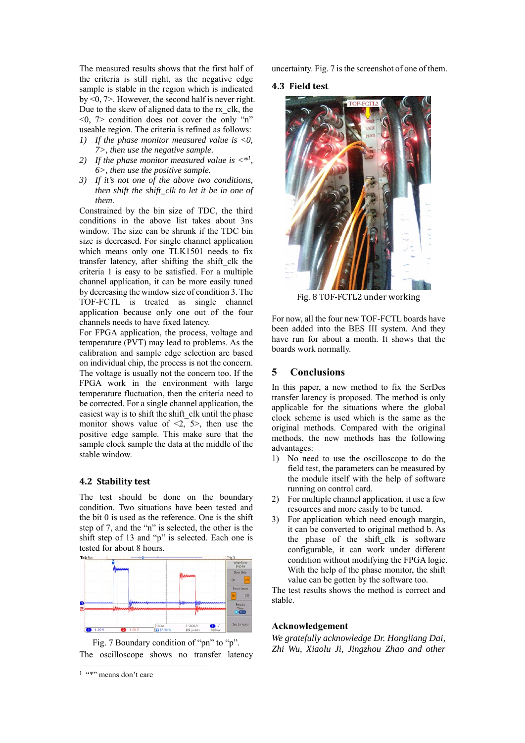The measured results shows that the first half of the criteria is still right, as the negative edge sample is stable in the region which is indicated by <0, 7>. However, the second half is never right. Due to the skew of aligned data to the rx\_clk, the  $\leq 0$ ,  $\geq$  condition does not cover the only "n" useable region. The criteria is refined as follows:

- *1) If the phase monitor measured value is <0, 7>, then use the negative sample.*
- 2) If the phase monitor measured value is  $\langle \cdot | \cdot | \cdot \rangle$ *6>, then use the positive sample.*
- *3) If it's not one of the above two conditions, then shift the shift\_clk to let it be in one of them.*

Constrained by the bin size of TDC, the third conditions in the above list takes about 3ns window. The size can be shrunk if the TDC bin size is decreased. For single channel application which means only one TLK1501 needs to fix transfer latency, after shifting the shift\_clk the criteria 1 is easy to be satisfied. For a multiple channel application, it can be more easily tuned by decreasing the window size of condition 3. The TOF-FCTL is treated as single channel application because only one out of the four channels needs to have fixed latency.

For FPGA application, the process, voltage and temperature (PVT) may lead to problems. As the calibration and sample edge selection are based on individual chip, the process is not the concern. The voltage is usually not the concern too. If the FPGA work in the environment with large temperature fluctuation, then the criteria need to be corrected. For a single channel application, the easiest way is to shift the shift clk until the phase monitor shows value of  $\leq 2$ ,  $5$ , then use the positive edge sample. This make sure that the sample clock sample the data at the middle of the stable window.

#### **4.2 Stability test**

The test should be done on the boundary condition. Two situations have been tested and the bit 0 is used as the reference. One is the shift step of 7, and the "n" is selected, the other is the shift step of 13 and "p" is selected. Each one is tested for about 8 hours.



Fig. 7 Boundary condition of "pn" to "p". The oscilloscope shows no transfer latency

-

uncertainty. Fig. 7 is the screenshot of one of them.

#### **4.3 Field test**



Fig. 8 TOF-FCTL2 under working

For now, all the four new TOF-FCTL boards have been added into the BES III system. And they have run for about a month. It shows that the boards work normally.

### **5 Conclusions**

In this paper, a new method to fix the SerDes transfer latency is proposed. The method is only applicable for the situations where the global clock scheme is used which is the same as the original methods. Compared with the original methods, the new methods has the following advantages:

- 1) No need to use the oscilloscope to do the field test, the parameters can be measured by the module itself with the help of software running on control card.
- 2) For multiple channel application, it use a few resources and more easily to be tuned.
- 3) For application which need enough margin, it can be converted to original method b. As the phase of the shift clk is software configurable, it can work under different condition without modifying the FPGA logic. With the help of the phase monitor, the shift value can be gotten by the software too.

The test results shows the method is correct and stable.

#### **Acknowledgement**

*We gratefully acknowledge Dr. Hongliang Dai, Zhi Wu, Xiaolu Ji, Jingzhou Zhao and other* 

<sup>1 &</sup>quot;\*" means don't care